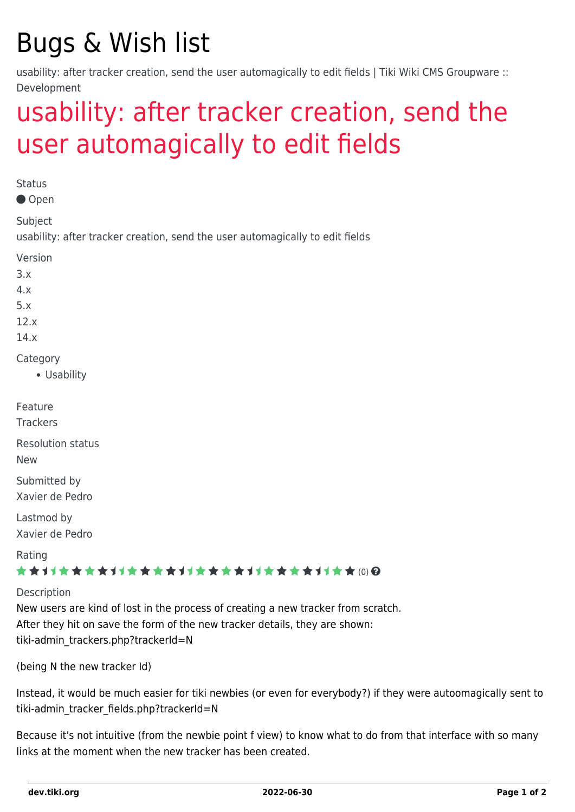## Bugs & Wish list

usability: after tracker creation, send the user automagically to edit fields | Tiki Wiki CMS Groupware :: Development

## [usability: after tracker creation, send the](https://dev.tiki.org/item2941-usability-after-tracker-creation-send-the-user-automagically-to-edit-fields) [user automagically to edit fields](https://dev.tiki.org/item2941-usability-after-tracker-creation-send-the-user-automagically-to-edit-fields)

**Status** Open Subject usability: after tracker creation, send the user automagically to edit fields Version 3.x 4.x 5.x 12.x 14.x Category Usability Feature Trackers Resolution status New Submitted by Xavier de Pedro Lastmod by Xavier de Pedro Rating ★★11★★★★11★★★★11★★★★11★★★★11★★ @@ Description New users are kind of lost in the process of creating a new tracker from scratch.

After they hit on save the form of the new tracker details, they are shown: tiki-admin\_trackers.php?trackerId=N

(being N the new tracker Id)

Instead, it would be much easier for tiki newbies (or even for everybody?) if they were autoomagically sent to tiki-admin\_tracker\_fields.php?trackerId=N

Because it's not intuitive (from the newbie point f view) to know what to do from that interface with so many links at the moment when the new tracker has been created.